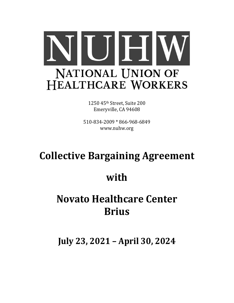

1250 45th Street, Suite 200 Emeryville, CA 94608

510-834-2009 \* 866-968-6849 www.nuhw.org

# **Collective Bargaining Agreement**

# **with**

# **Novato Healthcare Center Brius**

**July 23, 2021 – April 30, 2024**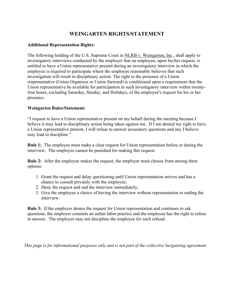# **WEINGARTEN RIGHTS/STATEMENT**

### **Additional Representation Rights:**

The following holding of the U.S. Supreme Court in NLRB v. Weingarten, Inc., shall apply to investigatory interviews conducted by the employer that an employee, upon his/her request, is entitled to have a Union representative present during an investigatory interview in which the employee is required to participate where the employee reasonably believes that such investigation will result in disciplinary action. The right to the presence of a Union rrepresentative (Union Organizer or Union Steward) is conditioned upon a requirement that the Union representative be available for participation in such investigatory interview within twentyfour hours, excluding Saturday, Sunday, and Holidays, of the employee's request for his or her presence.

### **Weingarten Rules/Statement:**

"I request to have a Union representative present on my behalf during the meeting because I believe it may lead to disciplinary action being taken against me. If I am denied my right to have a Union representative present, I will refuse to answer accusatory questions and any I believe may lead to discipline."

**Rule 1:** The employee must make a clear request for Union representation before or during the interview. The employee cannot be punished for making this request.

**Rule 2:** After the employee makes the request, the employer must choose from among three options:

- 1. Grant the request and delay questioning until Union representation arrives and has a chance to consult privately with the employee;
- 2. Deny the request and end the interview immediately;
- 3. Give the employee a choice of having the interview without representation or ending the interview.

**Rule 3:** If the employer denies the request for Union representation and continues to ask questions, the employer commits an unfair labor practice and the employee has the right to refuse to answer. The employer may not discipline the employee for such refusal.

*This page is for informational purposes only and is not part of the collective bargaining agreement*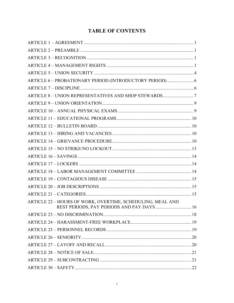# **TABLE OF CONTENTS**

| ARTICLE 6 - PROBATIONARY PERIOD (INTRODUCTORY PERIOD)  6   |  |
|------------------------------------------------------------|--|
|                                                            |  |
|                                                            |  |
|                                                            |  |
|                                                            |  |
|                                                            |  |
|                                                            |  |
|                                                            |  |
|                                                            |  |
|                                                            |  |
|                                                            |  |
|                                                            |  |
|                                                            |  |
|                                                            |  |
|                                                            |  |
|                                                            |  |
| ARTICLE 22 - HOURS OF WORK, OVERTIME, SCHEDULING, MEAL AND |  |
| REST PERIODS, PAY PERIODS AND PAY DAYS  16                 |  |
|                                                            |  |
|                                                            |  |
|                                                            |  |
|                                                            |  |
|                                                            |  |
|                                                            |  |
|                                                            |  |
|                                                            |  |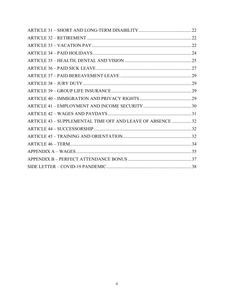| ARTICLE 43 - SUPPLEMENTAL TIME OFF AND LEAVE OF ABSENCE 32 |  |
|------------------------------------------------------------|--|
|                                                            |  |
|                                                            |  |
|                                                            |  |
|                                                            |  |
|                                                            |  |
|                                                            |  |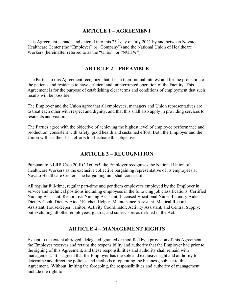### **ARTICLE 1 – AGREEMENT**

This Agreement is made and entered into this  $23<sup>rd</sup>$  day of July 2021 by and between Novato Healthcare Center (the "Employer" or "Company") and the National Union of Healthcare Workers (hereinafter referred to as the "Union" or "NUHW").

### **ARTICLE 2 – PREAMBLE**

The Parties to this Agreement recognize that it is in their mutual interest and for the protection of the patients and residents to have efficient and uninterrupted operation of the Facility. This Agreement is for the purpose of establishing clear terms and conditions of employment that such results will be possible.

The Employer and the Union agree that all employees, managers and Union representatives are to treat each other with respect and dignity, and that this shall also apply in providing services to residents and visitors.

The Parties agree with the objective of achieving the highest level of employee performance and production, consistent with safety, good health and sustained effort. Both the Employer and the Union will use their best efforts to effectuate this objective.

### **ARTICLE 3 – RECOGNITION**

Pursuant to NLRB Case 20-RC-160065, the Employer recognizes the National Union of Healthcare Workers as the exclusive collective bargaining representative of its employees at Novato Healthcare Center. The bargaining unit shall consist of:

All regular full-time, regular part-time and per diem employees employed by the Employer in service and technical positions including employees in the following job classifications: Certified Nursing Assistant, Restorative Nursing Assistant, Licensed Vocational Nurse, Laundry Aide, Dietary Cook, Dietary Aide / Kitchen Helper, Maintenance Assistant, Medical Records Assistant, Housekeeper, Janitor, Activity Coordinator, Activity Assistant, and Central Supply; but excluding all other employees, guards, and supervisors as defined in the Act.

### **ARTICLE 4 – MANAGEMENT RIGHTS**

Except to the extent abridged, delegated, granted or modified by a provision of this Agreement, the Employer reserves and retains the responsibility and authority that the Employer had prior to the signing of this Agreement, and these responsibilities and authority shall remain with management. It is agreed that the Employer has the sole and exclusive right and authority to determine and direct the policies and methods of operating the business, subject to this Agreement. Without limiting the foregoing, the responsibilities and authority of management include the right to: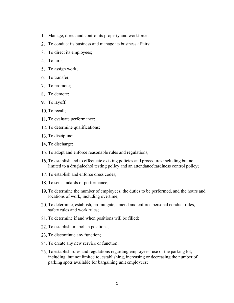- 1. Manage, direct and control its property and workforce;
- 2. To conduct its business and manage its business affairs;
- 3. To direct its employees;
- 4. To hire;
- 5. To assign work;
- To transfer;
- 7. To promote;
- To demote;
- 9. To layoff;
- 10. To recall;
- 11. To evaluate performance;
- 12. To determine qualifications;
- 13. To discipline;
- 14. To discharge;
- 15. To adopt and enforce reasonable rules and regulations;
- To establish and to effectuate existing policies and procedures including but not limited to a drug\alcohol testing policy and an attendance\tardiness control policy;
- 17. To establish and enforce dress codes;
- 18. To set standards of performance;
- To determine the number of employees, the duties to be performed, and the hours and locations of work, including overtime;
- To determine, establish, promulgate, amend and enforce personal conduct rules, safety rules and work rules;
- 21. To determine if and when positions will be filled;
- 22. To establish or abolish positions;
- 23. To discontinue any function;
- 24. To create any new service or function;
- 25. To establish rules and regulations regarding employees' use of the parking lot, including, but not limited to, establishing, increasing or decreasing the number of parking spots available for bargaining unit employees;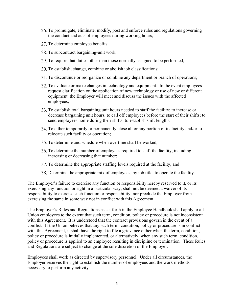- To promulgate, eliminate, modify, post and enforce rules and regulations governing the conduct and acts of employees during working hours;
- 27. To determine employee benefits;
- 28. To subcontract bargaining-unit work,
- 29. To require that duties other than those normally assigned to be performed;
- 30. To establish, change, combine or abolish job classifications;
- 31. To discontinue or reorganize or combine any department or branch of operations;
- 32. To evaluate or make changes in technology and equipment. In the event employees request clarification on the application of new technology or use of new or different equipment, the Employer will meet and discuss the issues with the affected employees;
- To establish total bargaining unit hours needed to staff the facility; to increase or decrease bargaining unit hours; to call off employees before the start of their shifts; to send employees home during their shifts; to establish shift lengths.
- 34. To either temporarily or permanently close all or any portion of its facility and/or to relocate such facility or operation;
- 35. To determine and schedule when overtime shall be worked;
- To determine the number of employees required to staff the facility, including increasing or decreasing that number;
- 37. To determine the appropriate staffing levels required at the facility; and
- Determine the appropriate mix of employees, by job title, to operate the facility.

The Employer's failure to exercise any function or responsibility hereby reserved to it, or its exercising any function or right in a particular way, shall not be deemed a waiver of its responsibility to exercise such function or responsibility, nor preclude the Employer from exercising the same in some way not in conflict with this Agreement.

The Employer's Rules and Regulations as set forth in the Employee Handbook shall apply to all Union employees to the extent that such term, condition, policy or procedure is not inconsistent with this Agreement. It is understood that the contract provisions govern in the event of a conflict. If the Union believes that any such term, condition, policy or procedure is in conflict with this Agreement, it shall have the right to file a grievance either when the term, condition, policy or procedure is initially implemented, or alternatively, when any such term, condition, policy or procedure is applied to an employee resulting in discipline or termination. These Rules and Regulations are subject to change at the sole discretion of the Employer.

Employees shall work as directed by supervisory personnel. Under all circumstances, the Employer reserves the right to establish the number of employees and the work methods necessary to perform any activity.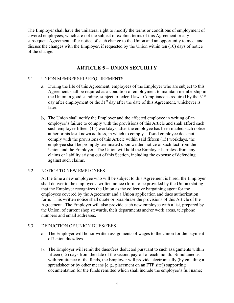The Employer shall have the unilateral right to modify the terms or conditions of employment of covered employees, which are not the subject of explicit terms of this Agreement or any subsequent Agreement, after notice of such change to the Union and an opportunity to meet and discuss the changes with the Employer, if requested by the Union within ten (10) days of notice of the change.

# **ARTICLE 5 – UNION SECURITY**

### 5.1 UNION MEMBERSHIP REQUIREMENTS

- During the life of this Agreement, employees of the Employer who are subject to this Agreement shall be required as a condition of employment to maintain membership in the Union in good standing, subject to federal law. Compliance is required by the  $31<sup>st</sup>$ day after employment or the  $31<sup>st</sup>$  day after the date of this Agreement, whichever is later.
- The Union shall notify the Employer and the affected employee in writing of an employee's failure to comply with the provisions of this Article and shall afford each such employee fifteen (15) workdays, after the employee has been mailed such notice at her or his last known address, in which to comply. If said employee does not comply with the provisions of this Article within said fifteen (15) workdays, the employee shall be promptly terminated upon written notice of such fact from the Union and the Employer. The Union will hold the Employer harmless from any claims or liability arising out of this Section, including the expense of defending against such claims.

### 5.2 NOTICE TO NEW EMPLOYEES

At the time a new employee who will be subject to this Agreement is hired, the Employer shall deliver to the employee a written notice (form to be provided by the Union) stating that the Employer recognizes the Union as the collective bargaining agent for the employees covered by the Agreement and a Union application and dues authorization form. This written notice shall quote or paraphrase the provisions of this Article of the Agreement. The Employer will also provide each new employee with a list, prepared by the Union, of current shop stewards, their departments and/or work areas, telephone numbers and email addresses.

#### 5.3 DEDUCTION OF UNION DUES/FEES

- The Employer will honor written assignments of wages to the Union for the payment of Union dues/fees.
- The Employer will remit the dues/fees deducted pursuant to such assignments within fifteen (15) days from the date of the second payroll of each month. Simultaneous with remittance of the funds, the Employer will provide electronically (by emailing a spreadsheet or by other means [e.g., placement on an FTP site]) supporting documentation for the funds remitted which shall include the employee's full name;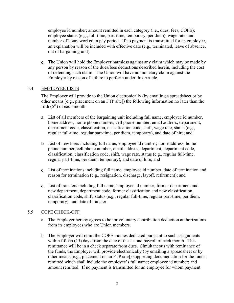employee id number; amount remitted in each category (i.e., dues, fees, COPE); employee status (e.g., full-time, part-time, temporary, per diem), wage rate; and number of hours worked in pay period. If no payment is transmitted for an employee, an explanation will be included with effective date (e.g., terminated, leave of absence, out of bargaining unit).

The Union will hold the Employer harmless against any claim which may be made by any person by reason of the dues/fees deductions described herein, including the cost of defending such claim. The Union will have no monetary claim against the Employer by reason of failure to perform under this Article.

### 5.4 EMPLOYEE LISTS

The Employer will provide to the Union electronically (by emailing a spreadsheet or by other means [e.g., placement on an FTP site]) the following information no later than the fifth  $(5<sup>th</sup>)$  of each month:

- List of all members of the bargaining unit including full name, employee id number, home address, home phone number, cell phone number, email address, department, department code, classification, classification code, shift, wage rate, status (e.g., regular full-time, regular part-time, per diem, temporary), and date of hire; and
- List of new hires including full name, employee id number, home address, home phone number, cell phone number, email address, department, department code, classification, classification code, shift, wage rate, status (e.g., regular full-time, regular part-time, per diem, temporary), and date of hire; and
- List of terminations including full name, employee id number, date of termination and reason for termination (e.g., resignation, discharge, layoff, retirement); and
- List of transfers including full name, employee id number, former department and new department, department code, former classification and new classification, classification code, shift, status (e.g., regular full-time, regular part-time, per diem, temporary), and date of transfer.

### 5.5 COPE CHECK-OFF

- a. The Employer hereby agrees to honor voluntary contribution deduction authorizations from its employees who are Union members.
- b. The Employer will remit the COPE monies deducted pursuant to such assignments within fifteen (15) days from the date of the second payroll of each month. This remittance will be in a check separate from dues. Simultaneous with remittance of the funds, the Employer will provide electronically (by emailing a spreadsheet or by other means [e.g., placement on an FTP site]) supporting documentation for the funds remitted which shall include the employee's full name; employee id number; and amount remitted. If no payment is transmitted for an employee for whom payment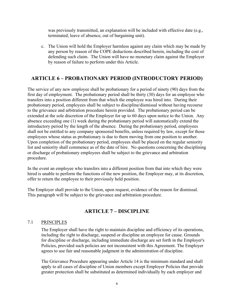was previously transmitted, an explanation will be included with effective date (e.g., terminated, leave of absence, out of bargaining unit).

c. The Union will hold the Employer harmless against any claim which may be made by any person by reason of the COPE deductions described herein, including the cost of defending such claim. The Union will have no monetary claim against the Employer by reason of failure to perform under this Article.

# **ARTICLE 6 – PROBATIONARY PERIOD (INTRODUCTORY PERIOD)**

The service of any new employee shall be probationary for a period of ninety (90) days from the first day of employment. The probationary period shall be thirty (30) days for an employee who transfers into a position different from that which the employee was hired into. During their probationary period, employees shall be subject to discipline/dismissal without having recourse to the grievance and arbitration procedure herein provided. The probationary period can be extended at the sole discretion of the Employer for up to 60 days upon notice to the Union. Any absence exceeding one (1) week during the probationary period will automatically extend the introductory period by the length of the absence. During the probationary period, employees shall not be entitled to any company sponsored benefits, unless required by law, except for those employees whose status as probationary is due to them moving from one position to another. Upon completion of the probationary period, employees shall be placed on the regular seniority list and seniority shall commence as of the date of hire. No questions concerning the disciplining or discharge of probationary employees shall be subject to the grievance and arbitration procedure.

In the event an employee who transfers into a different position from that into which they were hired is unable to perform the functions of the new position, the Employer may, at its discretion, offer to return the employee to their previously held position.

The Employer shall provide to the Union, upon request, evidence of the reason for dismissal. This paragraph will be subject to the grievance and arbitration procedure.

# **ARTICLE 7 – DISCIPLINE**

### 7.1 PRINCIPLES

The Employer shall have the right to maintain discipline and efficiency of its operations, including the right to discharge, suspend or discipline an employee for cause. Grounds for discipline or discharge, including immediate discharge are set forth in the Employer's Policies, provided such policies are not inconsistent with this Agreement. The Employer agrees to use fair and reasonable judgment in the administration of discipline.

The Grievance Procedure appearing under Article 14 is the minimum standard and shall apply to all cases of discipline of Union members except Employer Policies that provide greater protection shall be substituted as determined individually by each employer and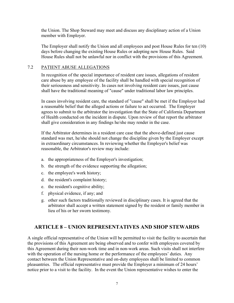the Union. The Shop Steward may meet and discuss any disciplinary action of a Union member with Employer.

The Employer shall notify the Union and all employees and post House Rules for ten (10) days before changing the existing House Rules or adopting new House Rules. Said House Rules shall not be unlawful nor in conflict with the provisions of this Agreement.

#### 7.2 PATIENT ABUSE ALLEGATIONS

In recognition of the special importance of resident care issues, allegations of resident care abuse by any employee of the facility shall be handled with special recognition of their seriousness and sensitivity. In cases not involving resident care issues, just cause shall have the traditional meaning of "cause" under traditional labor law principles.

In cases involving resident care, the standard of "cause" shall be met if the Employer had a reasonable belief that the alleged actions or failure to act occurred. The Employer agrees to submit to the arbitrator the investigation that the State of California Department of Health conducted on the incident in dispute. Upon review of that report the arbitrator shall give consideration in any findings he/she may render in the case.

If the Arbitrator determines in a resident care case that the above-defined just cause standard was met, he/she should not change the discipline given by the Employer except in extraordinary circumstances. In reviewing whether the Employer's belief was reasonable, the Arbitrator's review may include:

- a. the appropriateness of the Employer's investigation;
- b. the strength of the evidence supporting the allegation;
- c. the employee's work history;
- d. the resident's complaint history;
- e. the resident's cognitive ability;
- f. physical evidence, if any; and
- g. other such factors traditionally reviewed in disciplinary cases. It is agreed that the arbitrator shall accept a written statement signed by the resident or family member in lieu of his or her sworn testimony.

### **ARTICLE 8 – UNION REPRESENTATIVES AND SHOP STEWARDS**

A single official representative of the Union will be permitted to visit the facility to ascertain that the provisions of this Agreement are being observed and to confer with employees covered by this Agreement during their non-work time and in non-work areas. Such visits shall not interfere with the operation of the nursing home or the performance of the employees' duties. Any contact between the Union Representative and on-duty employees shall be limited to common pleasantries. The official representative must provide the Employer a minimum of 24 hours' notice prior to a visit to the facility. In the event the Union representative wishes to enter the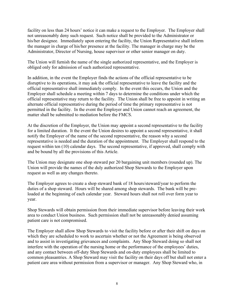facility on less than 24 hours' notice it can make a request to the Employer. The Employer shall not unreasonably deny such request. Such notice shall be provided to the Administrator or his/her designee. Immediately upon entering the facility, the Union Representative shall inform the manager in charge of his/her presence at the facility. The manager in charge may be the Administrator, Director of Nursing, house supervisor or other senior manager on duty.

The Union will furnish the name of the single authorized representative, and the Employer is obliged only for admission of such authorized representative.

In addition, in the event the Employer finds the actions of the official representative to be disruptive to its operations, it may ask the official representative to leave the facility and the official representative shall immediately comply. In the event this occurs, the Union and the Employer shall schedule a meeting within 7 days to determine the conditions under which the official representative may return to the facility. The Union shall be free to appoint in writing an alternate official representative during the period of time the primary representative is not permitted in the facility. In the event the Employer and Union cannot reach an agreement, the matter shall be submitted to mediation before the FMCS.

At the discretion of the Employer, the Union may appoint a second representative to the facility for a limited duration. It the event the Union desires to appoint a second representative, it shall notify the Employer of the name of the second representative, the reason why a second representative is needed and the duration of the appointment. The Employer shall respond to the request within ten (10) calendar days. The second representative, if approved, shall comply with and be bound by all the provisions of this Article.

The Union may designate one shop steward per 20 bargaining unit members (rounded up). The Union will provide the names of the duly authorized Shop Stewards to the Employer upon request as well as any changes thereto.

The Employer agrees to create a shop steward bank of 18 hours/steward/year to perform the duties of a shop steward. Hours will be shared among shop stewards. The bank will be preloaded at the beginning of each calendar year. Steward hours shall not roll over form year to year.

Shop Stewards will obtain permission from their immediate supervisor before leaving their work area to conduct Union business. Such permission shall not be unreasonably denied assuming patient care is not compromised.

The Employer shall allow Shop Stewards to visit the facility before or after their shift on days on which they are scheduled to work to ascertain whether or not the Agreement is being observed and to assist in investigating grievances and complaints. Any Shop Steward doing so shall not interfere with the operation of the nursing home or the performance of the employees' duties, and any contact between off-duty Shop Stewards and on-duty employees shall be limited to common pleasantries. A Shop Steward may visit the facility on their days off but shall not enter a patient care area without permission from a supervisor or manager. Any Shop Steward who, in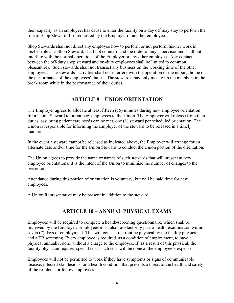their capacity as an employee, has cause to enter the facility on a day off may stay to perform the role of Shop Steward if so requested by the Employer or another employee.

Shop Stewards shall not direct any employee how to perform or not perform his/her work in his/her role as a Shop Steward, shall not countermand the order of any supervisor and shall not interfere with the normal operations of the Employer or any other employee. Any contact between the off-duty shop steward and on-duty employees shall be limited to common pleasantries. Such stewards shall not transact any business on the working time of the other employees. The stewards' activities shall not interfere with the operation of the nursing home or the performance of the employees' duties. The stewards may only meet with the members in the break room while in the performance of their duties.

# **ARTICLE 9 – UNION ORIENTATION**

The Employer agrees to allocate at least fifteen (15) minutes during new employee orientation for a Union Steward to orient new employees to the Union. The Employer will release from their duties, assuming patient care needs can be met, one (1) steward per scheduled orientation. The Union is responsible for informing the Employer of the steward to be released in a timely manner.

In the event a steward cannot be released as indicated above, the Employer will arrange for an alternate date and/or time for the Union Steward to conduct the Union portion of the orientation.

The Union agrees to provide the name or names of such stewards that will present at new employee orientations. It is the intent of the Union to minimize the number of changes to the presenter.

Attendance during this portion of orientation is voluntary, but will be paid time for new employees.

A Union Representative may be present in addition to the steward.

# **ARTICLE 10 – ANNUAL PHYSICAL EXAMS**

Employees will be required to complete a health-screening questionnaire, which shall be reviewed by the Employer. Employees must also satisfactorily pass a health examination within seven (7) days of employment. This will consist of a routine physical by the facility physician and a TB screening. Every employee is required, as a condition of employment, to have a physical annually, done without a charge to the employee. If, as a result of this physical, the facility physician requires special tests, such tests will be done at the employee's expense.

Employees will not be permitted to work if they have symptoms or signs of communicable disease, infected skin lesions, or a health condition that presents a threat to the health and safety of the residents or fellow employees.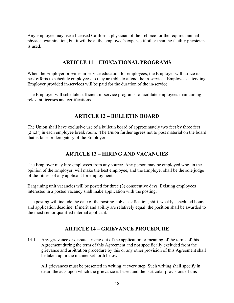Any employee may use a licensed California physician of their choice for the required annual physical examination, but it will be at the employee's expense if other than the facility physician is used.

### **ARTICLE 11 – EDUCATIONAL PROGRAMS**

When the Employer provides in-service education for employees, the Employer will utilize its best efforts to schedule employees so they are able to attend the in-service. Employees attending Employer provided in-services will be paid for the duration of the in-service.

The Employer will schedule sufficient in-service programs to facilitate employees maintaining relevant licenses and certifications.

### **ARTICLE 12 – BULLETIN BOARD**

The Union shall have exclusive use of a bulletin board of approximately two feet by three feet (2'x3') in each employee break room. The Union further agrees not to post material on the board that is false or derogatory of the Employer.

# **ARTICLE 13 – HIRING AND VACANCIES**

The Employer may hire employees from any source. Any person may be employed who, in the opinion of the Employer, will make the best employee, and the Employer shall be the sole judge of the fitness of any applicant for employment.

Bargaining unit vacancies will be posted for three (3) consecutive days. Existing employees interested in a posted vacancy shall make application with the posting.

The posting will include the date of the posting, job classification, shift, weekly scheduled hours, and application deadline. If merit and ability are relatively equal, the position shall be awarded to the most senior qualified internal applicant.

### **ARTICLE 14 – GRIEVANCE PROCEDURE**

14.1 Any grievance or dispute arising out of the application or meaning of the terms of this Agreement during the term of this Agreement and not specifically excluded from the grievance and arbitration procedure by this or any other provision of this Agreement shall be taken up in the manner set forth below.

All grievances must be presented in writing at every step. Such writing shall specify in detail the acts upon which the grievance is based and the particular provisions of this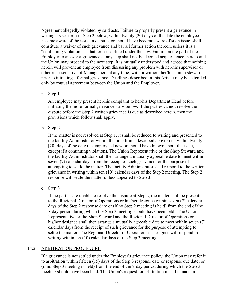Agreement allegedly violated by said acts. Failure to properly present a grievance in writing, as set forth in Step 2 below, within twenty (20) days of the date the employee became aware of the issue in dispute, or should have become aware of such issue, shall constitute a waiver of such grievance and bar all further action thereon, unless it is a "continuing violation" as that term is defined under the law. Failure on the part of the Employer to answer a grievance at any step shall not be deemed acquiescence thereto and the Union may proceed to the next step. It is mutually understood and agreed that nothing herein will prevent an employee from discussing any problem with her/his supervisor or other representative of Management at any time, with or without her/his Union steward, prior to initiating a formal grievance. Deadlines described in this Article may be extended only by mutual agreement between the Union and the Employer.

a. Step  $1$ 

An employee may present her/his complaint to her/his Department Head before initiating the more formal grievance steps below. If the parties cannot resolve the dispute before the Step 2 written grievance is due as described herein, then the provisions which follow shall apply.

b. Step  $2$ 

If the matter is not resolved at Step 1, it shall be reduced to writing and presented to the facility Administrator within the time frame described above (i.e., within twenty [20] days of the date the employee knew or should have known about the issue, except if a continuing violation). The Union Representative or the Shop Steward and the facility Administrator shall then arrange a mutually agreeable date to meet within seven (7) calendar days from the receipt of such grievance for the purpose of attempting to settle the matter. The facility Administrator shall respond to the written grievance in writing within ten (10) calendar days of the Step 2 meeting. The Step 2 response will settle the matter unless appealed to Step 3.

c. Step 3

If the parties are unable to resolve the dispute at Step 2, the matter shall be presented to the Regional Director of Operations or his/her designee within seven (7) calendar days of the Step 2 response date or (if no Step 2 meeting is held) from the end of the 7-day period during which the Step 2 meeting should have been held. The Union Representative or the Shop Steward and the Regional Director of Operations or his/her designee shall then arrange a mutually agreeable date to meet within seven (7) calendar days from the receipt of such grievance for the purpose of attempting to settle the matter. The Regional Director of Operations or designee will respond in writing within ten (10) calendar days of the Step 3 meeting.

### 14.2 ARBITRATION PROCEDURE

If a grievance is not settled under the Employer's grievance policy, the Union may refer it to arbitration within fifteen (15) days of the Step 3 response date or response due date, or (if no Step 3 meeting is held) from the end of the 7-day period during which the Step 3 meeting should have been held. The Union's request for arbitration must be made in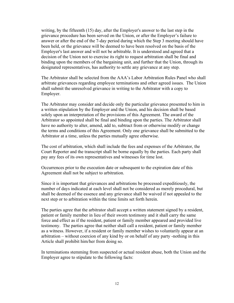writing, by the fifteenth (15) day, after the Employer's answer to the last step in the grievance procedure has been served on the Union, or after the Employer's failure to answer or after the end of the 7-day period during which the Step 3 meeting should have been held, or the grievance will be deemed to have been resolved on the basis of the Employer's last answer and will not be arbitrable. It is understood and agreed that a decision of the Union not to exercise its right to request arbitration shall be final and binding upon the members of the bargaining unit, and further that the Union, through its designated representatives, has authority to settle any grievance at any step.

The Arbitrator shall be selected from the AAA's Labor Arbitration Rules Panel who shall arbitrate grievances regarding employee terminations and other agreed issues. The Union shall submit the unresolved grievance in writing to the Arbitrator with a copy to Employer.

The Arbitrator may consider and decide only the particular grievance presented to him in a written stipulation by the Employer and the Union, and his decision shall be based solely upon an interpretation of the provisions of this Agreement. The award of the Arbitrator so appointed shall be final and binding upon the parties. The Arbitrator shall have no authority to alter, amend, add to, subtract from or otherwise modify or change the terms and conditions of this Agreement. Only one grievance shall be submitted to the Arbitrator at a time, unless the parties mutually agree otherwise.

The cost of arbitration, which shall include the fees and expenses of the Arbitrator, the Court Reporter and the transcript shall be borne equally by the parties. Each party shall pay any fees of its own representatives and witnesses for time lost.

Occurrences prior to the execution date or subsequent to the expiration date of this Agreement shall not be subject to arbitration.

Since it is important that grievances and arbitrations be processed expeditiously, the number of days indicated at each level shall not be considered as merely procedural, but shall be deemed of the essence and any grievance shall be waived if not appealed to the next step or to arbitration within the time limits set forth herein.

The parties agree that the arbitrator shall accept a written statement signed by a resident, patient or family member in lieu of their sworn testimony and it shall carry the same force and effect as if the resident, patient or family member appeared and provided live testimony. The parties agree that neither shall call a resident, patient or family member as a witness. However, if a resident or family member wishes to voluntarily appear at an arbitration – without coercion of any kind by or on behalf of any party -nothing in this Article shall prohibit him/her from doing so.

In terminations stemming from suspected or actual resident abuse, both the Union and the Employer agree to stipulate to the following facts: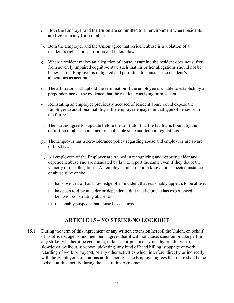- a. Both the Employer and the Union are committed to an environment where residents are free from any form of abuse.
- b. Both the Employer and the Union agree that resident abuse is a violation of a resident's rights and California and federal law.
- When a resident makes an allegation of abuse, assuming the resident does not suffer from severely impaired cognitive state such that his or her allegations should not be believed, the Employer is obligated and permitted to consider the resident's allegations as accurate.
- The arbitrator shall uphold the termination if the employee is unable to establish by a preponderance of the evidence that the resident was lying or mistaken.
- Reinstating an employee previously accused of resident abuse could expose the Employer to additional liability if the employee engages in that type of behavior in the future.
- The parties agree to stipulate before the arbitrator that the facility is bound by the definition of abuse contained in applicable state and federal regulations.
- The Employer has a zero-tolerance policy regarding abuse and employees are aware of this fact.
- All employees of the Employer are trained in recognizing and reporting elder and dependent abuse and are mandated by law to report the same even if they doubt the veracity of the allegations. An employee must report a known or suspected instance of abuse if he or she:
	- i. has observed or has knowledge of an incident that reasonably appears to be abuse;
	- ii. has been told by an elder or dependent adult that he or she has experienced behavior constituting abuse; or
	- iii. reasonably suspects that abuse has occurred.

# **ARTICLE 15 – NO STRIKE/NO LOCKOUT**

15.1 During the term of this Agreement or any written extension hereof, the Union, on behalf of its officers, agents and members, agrees that it will not cause, sanction or take part in any strike (whether it be economic, unfair labor practice, sympathy or otherwise), slowdown, walkout, sit-down, picketing, any kind of hand billing, stoppage of work, retarding of work or boycott, or any other activities which interfere, directly or indirectly, with the Employer's operations at this facility. The Employer agrees that there shall be no lockout at this facility during the life of this Agreement.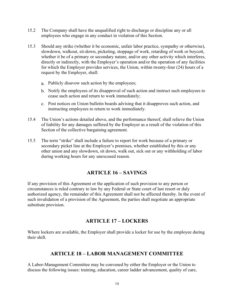- 15.2 The Company shall have the unqualified right to discharge or discipline any or all employees who engage in any conduct in violation of this Section.
- 15.3 Should any strike (whether it be economic, unfair labor practice, sympathy or otherwise), slowdown, walkout, sit-down, picketing, stoppage of work, retarding of work or boycott, whether it be of a primary or secondary nature, and/or any other activity which interferes, directly or indirectly, with the Employer's operation and/or the operation of any facilities for which the Employer provides services, the Union, within twenty-four (24) hours of a request by the Employer, shall:
	- Publicly disavow such action by the employees;
	- b. Notify the employees of its disapproval of such action and instruct such employees to cease such action and return to work immediately;
	- Post notices on Union bulletin boards advising that it disapproves such action, and instructing employees to return to work immediately.
- 15.4 The Union's actions detailed above, and the performance thereof, shall relieve the Union of liability for any damages suffered by the Employer as a result of the violation of this Section of the collective bargaining agreement.
- 15.5 The term "strike" shall include a failure to report for work because of a primary or secondary picket line at the Employer's premises, whether established by this or any other union and any slowdown, sit down, walk out, sick out or any withholding of labor during working hours for any unexcused reason.

### **ARTICLE 16 – SAVINGS**

If any provision of this Agreement or the application of such provision to any person or circumstances is ruled contrary to law by any Federal or State court of last resort or duly authorized agency, the remainder of this Agreement shall not be affected thereby. In the event of such invalidation of a provision of the Agreement, the parties shall negotiate an appropriate substitute provision.

### **ARTICLE 17 – LOCKERS**

Where lockers are available, the Employer shall provide a locker for use by the employee during their shift.

### **ARTICLE 18 – LABOR MANAGEMENT COMMITTEE**

A Labor-Management Committee may be convened by either the Employer or the Union to discuss the following issues: training, education, career ladder advancement, quality of care,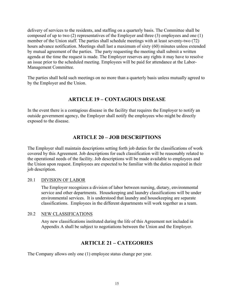delivery of services to the residents, and staffing on a quarterly basis. The Committee shall be composed of up to two (2) representatives of the Employer and three (3) employees and one (1) member of the Union staff. The parties shall schedule meetings with at least seventy-two (72) hours advance notification. Meetings shall last a maximum of sixty (60) minutes unless extended by mutual agreement of the parties. The party requesting the meeting shall submit a written agenda at the time the request is made. The Employer reserves any rights it may have to resolve an issue prior to the scheduled meeting. Employees will be paid for attendance at the Labor-Management Committee.

The parties shall hold such meetings on no more than a quarterly basis unless mutually agreed to by the Employer and the Union.

# **ARTICLE 19 – CONTAGIOUS DISEASE**

In the event there is a contagious disease in the facility that requires the Employer to notify an outside government agency, the Employer shall notify the employees who might be directly exposed to the disease.

# **ARTICLE 20 – JOB DESCRIPTIONS**

The Employer shall maintain descriptions setting forth job duties for the classifications of work covered by this Agreement. Job descriptions for each classification will be reasonably related to the operational needs of the facility. Job descriptions will be made available to employees and the Union upon request. Employees are expected to be familiar with the duties required in their job description.

### 20.1 DIVISION OF LABOR

The Employer recognizes a division of labor between nursing, dietary, environmental service and other departments. Housekeeping and laundry classifications will be under environmental services. It is understood that laundry and housekeeping are separate classifications. Employees in the different departments will work together as a team.

#### 20.2 NEW CLASSIFICATIONS

Any new classifications instituted during the life of this Agreement not included in Appendix A shall be subject to negotiations between the Union and the Employer.

### **ARTICLE 21 – CATEGORIES**

The Company allows only one (1) employee status change per year.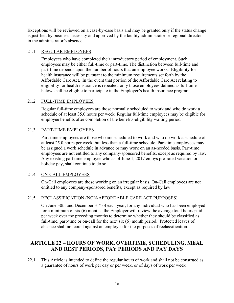Exceptions will be reviewed on a case-by-case basis and may be granted only if the status change is justified by business necessity and approved by the facility administrator or regional director in the administrator's absence.

### 21.1 REGULAR EMPLOYEES

Employees who have completed their introductory period of employment. Such employees may be either full-time or part-time. The distinction between full-time and part-time depends upon the number of hours that an employee works. Eligibility for health insurance will be pursuant to the minimum requirements set forth by the Affordable Care Act. In the event that portion of the Affordable Care Act relating to eligibility for health insurance is repealed, only those employees defined as full-time below shall be eligible to participate in the Employer's health insurance program.

### 21.2 FULL-TIME EMPLOYEES

Regular full-time employees are those normally scheduled to work and who do work a schedule of at least 35.0 hours per week. Regular full-time employees may be eligible for employee benefits after completion of the benefits-eligibility waiting period.

### 21.3 PART-TIME EMPLOYEES

Part-time employees are those who are scheduled to work and who do work a schedule of at least 25.0 hours per week, but less than a full-time schedule. Part-time employees may be assigned a work schedule in advance or may work on an as-needed basis. Part-time employees are not entitled to any company-sponsored benefits, except as required by law. Any existing part time employee who as of June 1, 2017 enjoys pro-rated vacation or holiday pay, shall continue to do so.

### 21.4 ON-CALL EMPLOYEES

On-Call employees are those working on an irregular basis. On-Call employees are not entitled to any company-sponsored benefits, except as required by law.

### 21.5 RECLASSIFICATION (NON-AFFORDABLE CARE ACT PURPOSES)

On June 30th and December 31<sup>st</sup> of each year, for any individual who has been employed for a minimum of six (6) months, the Employer will review the average total hours paid per week over the preceding months to determine whether they should be classified as full-time, part-time or on-call for the next six (6) month period. Protected leaves of absence shall not count against an employee for the purposes of reclassification.

# **ARTICLE 22 – HOURS OF WORK, OVERTIME, SCHEDULING, MEAL AND REST PERIODS, PAY PERIODS AND PAY DAYS**

22.1 This Article is intended to define the regular hours of work and shall not be construed as a guarantee of hours of work per day or per week, or of days of work per week.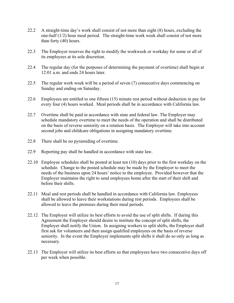- 22.2 A straight-time day's work shall consist of not more than eight (8) hours, excluding the one-half (1/2) hour meal period. The straight-time work week shall consist of not more than forty (40) hours.
- 22.3 The Employer reserves the right to modify the workweek or workday for some or all of its employees at its sole discretion.
- 22.4 The regular day (for the purposes of determining the payment of overtime) shall begin at 12:01 a.m. and ends 24 hours later.
- 22.5 The regular work week will be a period of seven (7) consecutive days commencing on Sunday and ending on Saturday.
- 22.6 Employees are entitled to one fifteen (15) minute rest period without deduction in pay for every four (4) hours worked. Meal periods shall be in accordance with California law.
- 22.7 Overtime shall be paid in accordance with state and federal law. The Employer may schedule mandatory overtime to meet the needs of the operation and shall be distributed on the basis of reverse seniority on a rotation basis. The Employer will take into account second jobs and childcare obligations in assigning mandatory overtime.
- 22.8 There shall be no pyramiding of overtime.
- 22.9 Reporting pay shall be handled in accordance with state law.
- 22.10 Employee schedules shall be posted at least ten (10) days prior to the first workday on the schedule. Change to the posted schedule may be made by the Employer to meet the needs of the business upon 24 hours' notice to the employee. Provided however that the Employer maintains the right to send employees home after the start of their shift and before their shifts.
- 22.11 Meal and rest periods shall be handled in accordance with California law. Employees shall be allowed to leave their workstations during rest periods. Employees shall be allowed to leave the premises during their meal periods.
- 22.12 The Employer will utilize its best efforts to avoid the use of split shifts. If during this Agreement the Employer should desire to institute the concept of split shifts, the Employer shall notify the Union. In assigning workers to split shifts, the Employer shall first ask for volunteers and then assign qualified employees on the basis of reverse seniority. In the event the Employer implements split shifts it shall do so only as long as necessary.
- 22.13 The Employer will utilize its best efforts so that employees have two consecutive days off per week when possible.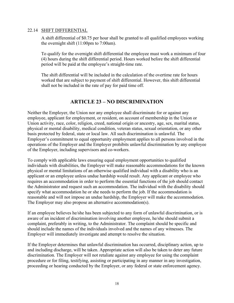#### 22.14 SHIFT DIFFERENTIAL

A shift differential of \$0.75 per hour shall be granted to all qualified employees working the overnight shift (11:00pm to 7:00am).

To qualify for the overnight shift differential the employee must work a minimum of four (4) hours during the shift differential period. Hours worked before the shift differential period will be paid at the employee's straight-time rate.

The shift differential will be included in the calculation of the overtime rate for hours worked that are subject to payment of shift differential. However, this shift differential shall not be included in the rate of pay for paid time off.

# **ARTICLE 23 – NO DISCRIMINATION**

Neither the Employer, the Union nor any employee shall discriminate for or against any employee, applicant for employment, or resident, on account of membership in the Union or Union activity, race, color, religion, creed, national origin or ancestry, age, sex, marital status, physical or mental disability, medical condition, veteran status, sexual orientation, or any other basis protected by federal, state or local law. All such discrimination is unlawful. The Employer's commitment to equal opportunity employment applies to all persons involved in the operations of the Employer and the Employer prohibits unlawful discrimination by any employee of the Employer, including supervisors and co-workers.

To comply with applicable laws ensuring equal employment opportunities to qualified individuals with disabilities, the Employer will make reasonable accommodations for the known physical or mental limitations of an otherwise qualified individual with a disability who is an applicant or an employee unless undue hardship would result. Any applicant or employee who requires an accommodation in order to perform the essential functions of the job should contact the Administrator and request such an accommodation. The individual with the disability should specify what accommodation he or she needs to perform the job. If the accommodation is reasonable and will not impose an undue hardship, the Employer will make the accommodation. The Employer may also propose an alternative accommodation(s).

If an employee believes he/she has been subjected to any form of unlawful discrimination, or is aware of an incident of discrimination involving another employee, he/she should submit a complaint, preferably in writing, to the Administrator. The complaint should be specific and should include the names of the individuals involved and the names of any witnesses. The Employer will immediately investigate and attempt to resolve the situation.

If the Employer determines that unlawful discrimination has occurred, disciplinary action, up to and including discharge, will be taken. Appropriate action will also be taken to deter any future discrimination. The Employer will not retaliate against any employee for using the complaint procedure or for filing, testifying, assisting or participating in any manner in any investigation, proceeding or hearing conducted by the Employer, or any federal or state enforcement agency.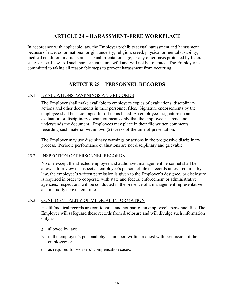# **ARTICLE 24 – HARASSMENT-FREE WORKPLACE**

In accordance with applicable law, the Employer prohibits sexual harassment and harassment because of race, color, national origin, ancestry, religion, creed, physical or mental disability, medical condition, marital status, sexual orientation, age, or any other basis protected by federal, state, or local law. All such harassment is unlawful and will not be tolerated. The Employer is committed to taking all reasonable steps to prevent harassment from occurring.

### **ARTICLE 25 – PERSONNEL RECORDS**

#### 25.1 EVALUATIONS, WARNINGS AND RECORDS

The Employer shall make available to employees copies of evaluations, disciplinary actions and other documents in their personnel files. Signature endorsements by the employee shall be encouraged for all items listed. An employee's signature on an evaluation or disciplinary document means only that the employee has read and understands the document. Employees may place in their file written comments regarding such material within two (2) weeks of the time of presentation.

The Employer may use disciplinary warnings or actions in the progressive disciplinary process. Periodic performance evaluations are not disciplinary and grievable.

### 25.2 INSPECTION OF PERSONNEL RECORDS

No one except the affected employee and authorized management personnel shall be allowed to review or inspect an employee's personnel file or records unless required by law, the employee's written permission is given to the Employer's designee, or disclosure is required in order to cooperate with state and federal enforcement or administrative agencies. Inspections will be conducted in the presence of a management representative at a mutually convenient time.

### 25.3 CONFIDENTIALITY OF MEDICAL INFORMATION

Health/medical records are confidential and not part of an employee's personnel file. The Employer will safeguard these records from disclosure and will divulge such information only as:

- allowed by law;
- b. to the employee's personal physician upon written request with permission of the employee; or
- as required for workers' compensation cases.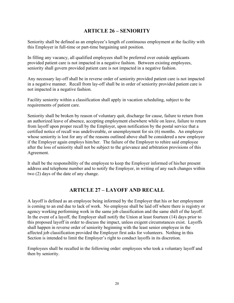### **ARTICLE 26 – SENIORITY**

Seniority shall be defined as an employee's length of continuous employment at the facility with this Employer in full-time or part-time bargaining unit position.

In filling any vacancy, all qualified employees shall be preferred over outside applicants provided patient care is not impacted in a negative fashion. Between existing employees, seniority shall govern provided patient care is not impacted in a negative fashion.

Any necessary lay-off shall be in reverse order of seniority provided patient care is not impacted in a negative manner. Recall from lay-off shall be in order of seniority provided patient care is not impacted in a negative fashion.

Facility seniority within a classification shall apply in vacation scheduling, subject to the requirements of patient care.

Seniority shall be broken by reason of voluntary quit, discharge for cause, failure to return from an authorized leave of absence, accepting employment elsewhere while on leave, failure to return from layoff upon proper recall by the Employer, upon notification by the postal service that a certified notice of recall was undeliverable, or unemployment for six (6) months. An employee whose seniority is lost for any of the reasons outlined above shall be considered a new employee if the Employer again employs him/her. The failure of the Employer to rehire said employee after the loss of seniority shall not be subject to the grievance and arbitration provisions of this Agreement.

It shall be the responsibility of the employee to keep the Employer informed of his/her present address and telephone number and to notify the Employer, in writing of any such changes within two (2) days of the date of any change.

### **ARTICLE 27 – LAYOFF AND RECALL**

A layoff is defined as an employee being informed by the Employer that his or her employment is coming to an end due to lack of work. No employee shall be laid off where there is registry or agency working performing work in the same job classification and the same shift of the layoff. In the event of a layoff, the Employer shall notify the Union at least fourteen (14) days prior to this proposed layoff in order to discuss the impact, unless exigent circumstances exist. Layoffs shall happen in reverse order of seniority beginning with the least senior employee in the affected job classification provided the Employer first asks for volunteers. Nothing in this Section is intended to limit the Employer's right to conduct layoffs in its discretion.

Employees shall be recalled in the following order: employees who took a voluntary layoff and then by seniority.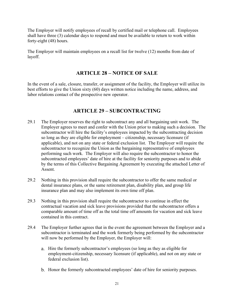The Employer will notify employees of recall by certified mail or telephone call. Employees shall have three (3) calendar days to respond and must be available to return to work within forty-eight (48) hours.

The Employer will maintain employees on a recall list for twelve (12) months from date of layoff.

# **ARTICLE 28 – NOTICE OF SALE**

In the event of a sale, closure, transfer, or assignment of the facility, the Employer will utilize its best efforts to give the Union sixty (60) days written notice including the name, address, and labor relations contact of the prospective new operator.

# **ARTICLE 29 – SUBCONTRACTING**

- 29.1 The Employer reserves the right to subcontract any and all bargaining unit work. The Employer agrees to meet and confer with the Union prior to making such a decision. The subcontractor will hire the facility's employees impacted by the subcontracting decision so long as they are eligible for employment – citizenship, necessary licensure (if applicable), and not on any state or federal exclusion list. The Employer will require the subcontractor to recognize the Union as the bargaining representative of employees performing such work. The Employer will also require the subcontractor to honor the subcontracted employees' date of hire at the facility for seniority purposes and to abide by the terms of this Collective Bargaining Agreement by executing the attached Letter of Assent.
- 29.2 Nothing in this provision shall require the subcontractor to offer the same medical or dental insurance plans, or the same retirement plan, disability plan, and group life insurance plan and may also implement its own time off plan.
- 29.3 Nothing in this provision shall require the subcontractor to continue in effect the contractual vacation and sick leave provisions provided that the subcontractor offers a comparable amount of time off as the total time off amounts for vacation and sick leave contained in this contract.
- 29.4 The Employer further agrees that in the event the agreement between the Employer and a subcontractor is terminated and the work formerly being performed by the subcontractor will now be performed by the Employer, the Employer will:
	- Hire the formerly subcontractor's employees (so long as they as eligible for employment-citizenship, necessary licensure (if applicable), and not on any state or federal exclusion list).
	- Honor the formerly subcontracted employees' date of hire for seniority purposes.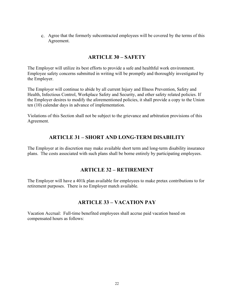Agree that the formerly subcontracted employees will be covered by the terms of this Agreement.

### **ARTICLE 30 – SAFETY**

The Employer will utilize its best efforts to provide a safe and healthful work environment. Employee safety concerns submitted in writing will be promptly and thoroughly investigated by the Employer.

The Employer will continue to abide by all current Injury and Illness Prevention, Safety and Health, Infectious Control, Workplace Safety and Security, and other safety related policies. If the Employer desires to modify the aforementioned policies, it shall provide a copy to the Union ten (10) calendar days in advance of implementation.

Violations of this Section shall not be subject to the grievance and arbitration provisions of this Agreement.

# **ARTICLE 31 – SHORT AND LONG-TERM DISABILITY**

The Employer at its discretion may make available short term and long-term disability insurance plans. The costs associated with such plans shall be borne entirely by participating employees.

# **ARTICLE 32 – RETIREMENT**

The Employer will have a 401k plan available for employees to make pretax contributions to for retirement purposes. There is no Employer match available.

# **ARTICLE 33 – VACATION PAY**

Vacation Accrual: Full-time benefited employees shall accrue paid vacation based on compensated hours as follows: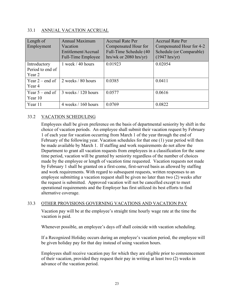### 33.1 ANNUAL VACATION ACCRUAL

| Length of<br>Employment                    | <b>Annual Maximum</b><br>Vacation<br>Entitlement/Accrual<br><b>Full-Time Employee</b> | <b>Accrual Rate Per</b><br>Compensated Hour for<br>Full-Time Schedule (40<br>hrs/wk or $2080$ hrs/yr) | <b>Accrual Rate Per</b><br>Compensated Hour for 4-2<br>Schedule (or Comparable)<br>$(1947 \text{ hrs/yr})$ |
|--------------------------------------------|---------------------------------------------------------------------------------------|-------------------------------------------------------------------------------------------------------|------------------------------------------------------------------------------------------------------------|
| Introductory<br>Period to end of<br>Year 2 | $1$ week $/$ 40 hours                                                                 | 0.01923                                                                                               | 0.02054                                                                                                    |
| Year $2$ – end of<br>Year 4                | 2 weeks / 80 hours                                                                    | 0.0385                                                                                                | 0.0411                                                                                                     |
| Year $5$ – end of<br>Year $10$             | 3 weeks / 120 hours                                                                   | 0.0577                                                                                                | 0.0616                                                                                                     |
| Year 11                                    | $4$ weeks $/ 160$ hours                                                               | 0.0769                                                                                                | 0.0822                                                                                                     |

### 33.2 VACATION SCHEDULING

Employees shall be given preference on the basis of departmental seniority by shift in the choice of vacation periods. An employee shall submit their vacation request by February 1 of each year for vacation occurring from March 1 of the year through the end of February of the following year. Vacation schedules for that one (1) year period will then be made available by March 1. If staffing and work requirements do not allow the Department to grant all vacation requests from employees in a classification for the same time period, vacation will be granted by seniority regardless of the number of choices made by the employee or length of vacation time requested. Vacation requests not made by February 1 shall be granted on a first-come, first-served basis as allowed by staffing and work requirements. With regard to subsequent requests, written responses to an employee submitting a vacation request shall be given no later than two (2) weeks after the request is submitted. Approved vacation will not be cancelled except to meet operational requirements and the Employer has first utilized its best efforts to find alternative coverage.

### 33.3 OTHER PROVISIONS GOVERNING VACATIONS AND VACATION PAY

Vacation pay will be at the employee's straight time hourly wage rate at the time the vacation is paid.

Whenever possible, an employee's days off shall coincide with vacation scheduling.

If a Recognized Holiday occurs during an employee's vacation period, the employee will be given holiday pay for that day instead of using vacation hours.

Employees shall receive vacation pay for which they are eligible prior to commencement of their vacation, provided they request their pay in writing at least two (2) weeks in advance of the vacation period.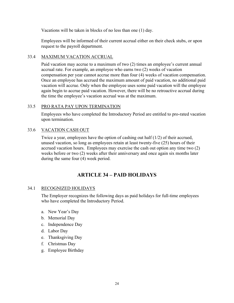Vacations will be taken in blocks of no less than one (1) day.

Employees will be informed of their current accrual either on their check stubs, or upon request to the payroll department.

### 33.4 MAXIMUM VACATION ACCRUAL

Paid vacation may accrue to a maximum of two (2) times an employee's current annual accrual rate. For example, an employee who earns two (2) weeks of vacation compensation per year cannot accrue more than four (4) weeks of vacation compensation. Once an employee has accrued the maximum amount of paid vacation, no additional paid vacation will accrue. Only when the employee uses some paid vacation will the employee again begin to accrue paid vacation. However, there will be no retroactive accrual during the time the employee's vacation accrual was at the maximum.

### 33.5 PRO RATA PAY UPON TERMINATION

Employees who have completed the Introductory Period are entitled to pro-rated vacation upon termination.

### 33.6 VACATION CASH OUT

Twice a year, employees have the option of cashing out half (1/2) of their accrued, unused vacation, so long as employees retain at least twenty-five (25) hours of their accrued vacation hours. Employees may exercise the cash out option any time two (2) weeks before or two (2) weeks after their anniversary and once again six months later during the same four (4) week period.

# **ARTICLE 34 – PAID HOLIDAYS**

### 34.1 RECOGNIZED HOLIDAYS

The Employer recognizes the following days as paid holidays for full-time employees who have completed the Introductory Period.

- a. New Year's Day
- b. Memorial Day
- c. Independence Day
- d. Labor Day
- e. Thanksgiving Day
- f. Christmas Day
- g. Employee Birthday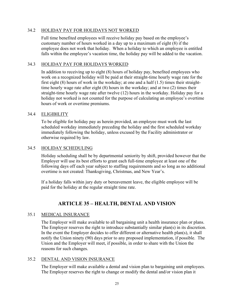#### 34.2 HOLIDAY PAY FOR HOLIDAYS NOT WORKED

Full time benefited employees will receive holiday pay based on the employee's customary number of hours worked in a day up to a maximum of eight (8) if the employee does not work that holiday. When a holiday to which an employee is entitled falls within the employee's vacation time, the holiday pay will be added to the vacation.

#### 34.3 HOLIDAY PAY FOR HOLIDAYS WORKED

In addition to receiving up to eight (8) hours of holiday pay, benefited employees who work on a recognized holiday will be paid at their straight-time hourly wage rate for the first eight  $(8)$  hours of work in the workday; at one and a half  $(1.5)$  times their straighttime hourly wage rate after eight (8) hours in the workday; and at two (2) times their straight-time hourly wage rate after twelve (12) hours in the workday. Holiday pay for a holiday not worked is not counted for the purpose of calculating an employee's overtime hours of work or overtime premiums.

#### 34.4 ELIGIBILITY

To be eligible for holiday pay as herein provided, an employee must work the last scheduled workday immediately preceding the holiday and the first scheduled workday immediately following the holiday, unless excused by the Facility administrator or otherwise required by law.

#### 34.5 HOLIDAY SCHEDULING

Holiday scheduling shall be by departmental seniority by shift, provided however that the Employer will use its best efforts to grant each full-time employee at least one of the following days off each year subject to staffing requirements and so long as no additional overtime is not created: Thanksgiving, Christmas, and New Year's.

If a holiday falls within jury duty or bereavement leave, the eligible employee will be paid for the holiday at the regular straight time rate.

# **ARTICLE 35 – HEALTH, DENTAL AND VISION**

### 35.1 MEDICAL INSURANCE

The Employer will make available to all bargaining unit a health insurance plan or plans. The Employer reserves the right to introduce substantially similar plan(s) in its discretion. In the event the Employer decides to offer different or alternative health plan(s), it shall notify the Union ninety (90) days prior to any proposed implementation, if possible. The Union and the Employer will meet, if possible, in order to share with the Union the reasons for such changes.

#### 35.2 DENTAL AND VISION INSURANCE

The Employer will make available a dental and vision plan to bargaining unit employees. The Employer reserves the right to change or modify the dental and/or vision plan it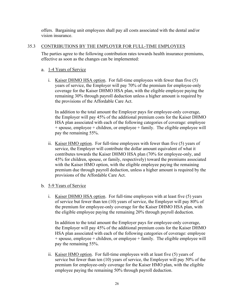offers. Bargaining unit employees shall pay all costs associated with the dental and/or vision insurance.

### 35.3 CONTRIBUTIONS BY THE EMPLOYER FOR FULL-TIME EMPLOYEES

The parties agree to the following contribution rates towards health insurance premiums, effective as soon as the changes can be implemented:

#### 1-4 Years of Service

i. Kaiser DHMO HSA option. For full-time employees with fewer than five (5) years of service, the Employer will pay 70% of the premium for employee-only coverage for the Kaiser DHMO HSA plan, with the eligible employee paying the remaining 30% through payroll deduction unless a higher amount is required by the provisions of the Affordable Care Act.

In addition to the total amount the Employer pays for employee-only coverage, the Employer will pay 45% of the additional premium costs for the Kaiser DHMO HSA plan associated with each of the following categories of coverage: employee + spouse, employee + children, or employee + family. The eligible employee will pay the remaining 55%.

ii. Kaiser HMO option. For full-time employees with fewer than five (5) years of service, the Employer will contribute the dollar amount equivalent of what it contributes towards the Kaiser DHMO HSA plan (70% for employee-only, and 45% for children, spouse, or family, respectively) toward the premiums associated with the Kaiser HMO option, with the eligible employee paying the remaining premium due through payroll deduction, unless a higher amount is required by the provisions of the Affordable Care Act.

### 5-9 Years of Service

i. Kaiser DHMO HSA option. For full-time employees with at least five (5) years of service but fewer than ten (10) years of service, the Employer will pay 80% of the premium for employee-only coverage for the Kaiser DHMO HSA plan, with the eligible employee paying the remaining 20% through payroll deduction.

In addition to the total amount the Employer pays for employee-only coverage, the Employer will pay 45% of the additional premium costs for the Kaiser DHMO HSA plan associated with each of the following categories of coverage: employee + spouse, employee + children, or employee + family. The eligible employee will pay the remaining 55%.

ii. Kaiser HMO option. For full-time employees with at least five (5) years of service but fewer than ten (10) years of service, the Employer will pay 50% of the premium for employee-only coverage for the Kaiser HMO plan, with the eligible employee paying the remaining 50% through payroll deduction.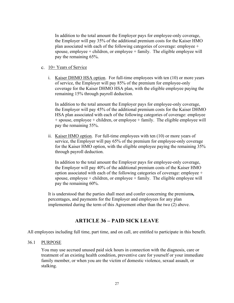In addition to the total amount the Employer pays for employee-only coverage, the Employer will pay 35% of the additional premium costs for the Kaiser HMO plan associated with each of the following categories of coverage: employee + spouse, employee  $+$  children, or employee  $+$  family. The eligible employee will pay the remaining 65%.

- 10+ Years of Service
	- i. Kaiser DHMO HSA option. For full-time employees with ten (10) or more years of service, the Employer will pay 85% of the premium for employee-only coverage for the Kaiser DHMO HSA plan, with the eligible employee paying the remaining 15% through payroll deduction.

In addition to the total amount the Employer pays for employee-only coverage, the Employer will pay 45% of the additional premium costs for the Kaiser DHMO HSA plan associated with each of the following categories of coverage: employee + spouse, employee + children, or employee + family. The eligible employee will pay the remaining 55%.

ii. Kaiser HMO option. For full-time employees with ten (10) or more years of service, the Employer will pay 65% of the premium for employee-only coverage for the Kaiser HMO option, with the eligible employee paying the remaining 35% through payroll deduction.

In addition to the total amount the Employer pays for employee-only coverage, the Employer will pay 40% of the additional premium costs of the Kaiser HMO option associated with each of the following categories of coverage: employee + spouse, employee  $+$  children, or employee  $+$  family. The eligible employee will pay the remaining 60%.

It is understood that the parties shall meet and confer concerning the premium**s,** percentages, and payments for the Employer and employees for any plan implemented during the term of this Agreement other than the two (2) above.

### **ARTICLE 36 – PAID SICK LEAVE**

All employees including full time, part time, and on call, are entitled to participate in this benefit.

#### 36.1 PURPOSE

You may use accrued unused paid sick hours in connection with the diagnosis, care or treatment of an existing health condition, preventive care for yourself or your immediate family member, or when you are the victim of domestic violence, sexual assault, or stalking.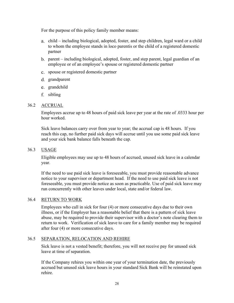For the purpose of this policy family member means:

- child including biological, adopted, foster, and step children, legal ward or a child to whom the employee stands in loco parentis or the child of a registered domestic partner
- parent including biological, adopted, foster, and step parent, legal guardian of an employee or of an employee's spouse or registered domestic partner
- spouse or registered domestic partner
- d. grandparent
- e. grandchild
- sibling

#### 36.2 ACCRUAL

Employees accrue up to 48 hours of paid sick leave per year at the rate of .0333 hour per hour worked.

Sick leave balances carry over from year to year; the accrual cap is 48 hours. If you reach this cap, no further paid sick days will accrue until you use some paid sick leave and your sick bank balance falls beneath the cap.

36.3 USAGE

Eligible employees may use up to 48 hours of accrued, unused sick leave in a calendar year.

If the need to use paid sick leave is foreseeable, you must provide reasonable advance notice to your supervisor or department head. If the need to use paid sick leave is not foreseeable, you must provide notice as soon as practicable. Use of paid sick leave may run concurrently with other leaves under local, state and/or federal law.

#### 36.4 RETURN TO WORK

Employees who call in sick for four (4) or more consecutive days due to their own illness, or if the Employer has a reasonable belief that there is a pattern of sick leave abuse, may be required to provide their supervisor with a doctor's note clearing them to return to work. Verification of sick leave to care for a family member may be required after four (4) or more consecutive days.

#### 36.5 SEPARATION, RELOCATION AND REHIRE

Sick leave is not a vested benefit; therefore, you will not receive pay for unused sick leave at time of separation.

If the Company rehires you within one year of your termination date, the previously accrued but unused sick leave hours in your standard Sick Bank will be reinstated upon rehire.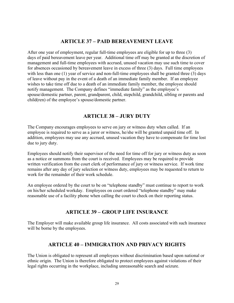### **ARTICLE 37 – PAID BEREAVEMENT LEAVE**

After one year of employment, regular full-time employees are eligible for up to three (3) days of paid bereavement leave per year. Additional time off may be granted at the discretion of management and full-time employees with accrued, unused vacation may use such time to cover for absences occasioned by bereavement leave in excess of three (3) days. Full time employees with less than one (1) year of service and non-full-time employees shall be granted three (3) days of leave without pay in the event of a death of an immediate family member. If an employee wishes to take time off due to a death of an immediate family member, the employee should notify management. The Company defines "immediate family" as the employee's spouse/domestic partner, parent, grandparent, child, stepchild, grandchild, sibling or parents and child(ren) of the employee's spouse/domestic partner.

# **ARTICLE 38 – JURY DUTY**

The Company encourages employees to serve on jury or witness duty when called. If an employee is required to serve as a juror or witness, he/she will be granted unpaid time off. In addition, employees may use any accrued, unused vacation they have to compensate for time lost due to jury duty.

Employees should notify their supervisor of the need for time off for jury or witness duty as soon as a notice or summons from the court is received. Employees may be required to provide written verification from the court clerk of performance of jury or witness service. If work time remains after any day of jury selection or witness duty, employees may be requested to return to work for the remainder of their work schedule.

An employee ordered by the court to be on "telephone standby" must continue to report to work on his/her scheduled workday. Employees on court ordered "telephone standby" may make reasonable use of a facility phone when calling the court to check on their reporting status.

# **ARTICLE 39 – GROUP LIFE INSURANCE**

The Employer will make available group life insurance. All costs associated with such insurance will be borne by the employees.

# **ARTICLE 40 – IMMIGRATION AND PRIVACY RIGHTS**

The Union is obligated to represent all employees without discrimination based upon national or ethnic origin. The Union is therefore obligated to protect employees against violations of their legal rights occurring in the workplace, including unreasonable search and seizure.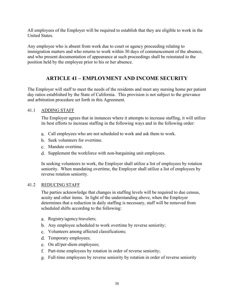All employees of the Employer will be required to establish that they are eligible to work in the United States.

Any employee who is absent from work due to court or agency proceeding relating to immigration matters and who returns to work within 30 days of commencement of the absence, and who present documentation of appearance at such proceedings shall be reinstated to the position held by the employee prior to his or her absence.

# **ARTICLE 41 – EMPLOYMENT AND INCOME SECURITY**

The Employer will staff to meet the needs of the residents and meet any nursing home per patient day ratios established by the State of California. This provision is not subject to the grievance and arbitration procedure set forth in this Agreement.

### 41.1 ADDING STAFF

The Employer agrees that in instances where it attempts to increase staffing, it will utilize its best efforts to increase staffing in the following ways and in the following order:

- Call employees who are not scheduled to work and ask them to work.
- b. Seek volunteers for overtime.
- Mandate overtime.
- d. Supplement the workforce with non-bargaining unit employees.

In seeking volunteers to work, the Employer shall utilize a list of employees by rotation seniority. When mandating overtime, the Employer shall utilize a list of employees by reverse rotation seniority.

#### 41.2 REDUCING STAFF

The parties acknowledge that changes in staffing levels will be required to due census, acuity and other items. In light of the understanding above, when the Employer determines that a reduction in daily staffing is necessary, staff will be removed from scheduled shifts according to the following:

- a. Registry/agency/travelers;
- b. Any employee scheduled to work overtime by reverse seniority;
- Volunteers among affected classifications;
- Temporary employees;
- On all/per-diem employees;
- f. Part-time employees by rotation in order of reverse seniority;
- Full-time employees by reverse seniority by rotation in order of reverse seniority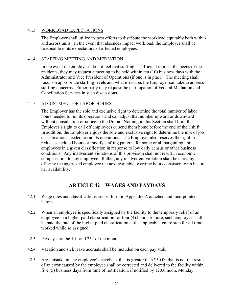#### 41.3 WORKLOAD EXPECTATIONS

The Employer shall utilize its best efforts to distribute the workload equitably both within and across units. In the event that absences impact workload, the Employer shall be reasonable in its expectations of affected employees.

#### 41.4 STAFFING MEETING AND MEDIATION

In the event the employees do not feel that staffing is sufficient to meet the needs of the residents, they may request a meeting to be held within ten (10) business days with the Administrator and Vice President of Operations (if one is in place), The meeting shall focus on appropriate staffing levels and what measures the Employer can take to address staffing concerns. Either party may request the participation of Federal Mediation and Conciliation Services in such discussions.

#### 41.5 ADJUSTMENT OF LABOR HOURS

The Employer has the sole and exclusive right to determine the total number of labor hours needed to run its operations and can adjust that number upward or downward without consultation or notice to the Union. Nothing in this Section shall limit the Employer's right to call off employees or send them home before the end of their shift. In addition, the Employer enjoys the sole and exclusive right to determine the mix of job classifications needed to run its operations. The Employer also reserves the right to reduce scheduled hours or modify staffing patterns for some or all bargaining unit employees in a given classification in response to low daily census or other business conditions. Any inadvertent violations of this provision shall not result in economic compensation to any employee. Rather, any inadvertent violation shall be cured by offering the aggrieved employee the next available overtime hours consistent with his or her availability.

# **ARTICLE 42 – WAGES AND PAYDAYS**

- 42.1 Wage rates and classifications are set forth in Appendix A attached and incorporated herein.
- 42.2 When an employee is specifically assigned by the facility to the temporary relief of an employee in a higher paid classification for four (4) hours or more, such employee shall be paid the rate of the higher paid classification at the applicable tenure step for all time worked while so assigned.
- 42.3 Paydays are the  $10^{th}$  and  $25^{th}$  of the month.
- 42.4 Vacation and sick leave accruals shall be included on each pay stub.
- 42.5 Any mistake in any employee's paycheck that is greater than \$50.00 that is not the result of an error caused by the employee shall be corrected and delivered to the facility within five (5) business days from time of notification, if notified by 12:00 noon, Monday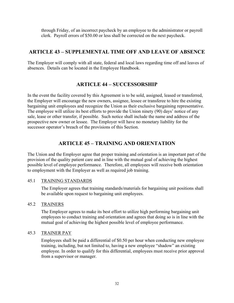through Friday, of an incorrect paycheck by an employee to the administrator or payroll clerk. Payroll errors of \$50.00 or less shall be corrected on the next paycheck.

# **ARTICLE 43 – SUPPLEMENTAL TIME OFF AND LEAVE OF ABSENCE**

The Employer will comply with all state, federal and local laws regarding time off and leaves of absences. Details can be located in the Employee Handbook.

### **ARTICLE 44 – SUCCESSORSHIP**

In the event the facility covered by this Agreement is to be sold, assigned, leased or transferred, the Employer will encourage the new owners, assignee, lessee or transferee to hire the existing bargaining unit employees and recognize the Union as their exclusive bargaining representative. The employee will utilize its best efforts to provide the Union ninety (90) days' notice of any sale, lease or other transfer, if possible. Such notice shall include the name and address of the prospective new owner or lessee. The Employer will have no monetary liability for the successor operator's breach of the provisions of this Section.

# **ARTICLE 45 – TRAINING AND ORIENTATION**

The Union and the Employer agree that proper training and orientation is an important part of the provision of the quality patient care and in line with the mutual goal of achieving the highest possible level of employee performance. Therefore, all employees will receive both orientation to employment with the Employer as well as required job training.

### 45.1 TRAINING STANDARDS

The Employer agrees that training standards/materials for bargaining unit positions shall be available upon request to bargaining unit employees.

### 45.2 TRAINERS

The Employer agrees to make its best effort to utilize high performing bargaining unit employees to conduct training and orientation and agrees that doing so is in line with the mutual goal of achieving the highest possible level of employee performance.

### 45.3 TRAINER PAY

Employees shall be paid a differential of \$0.50 per hour when conducting new employee training, including, but not limited to, having a new employee "shadow" an existing employee. In order to qualify for this differential, employees must receive prior approval from a supervisor or manager.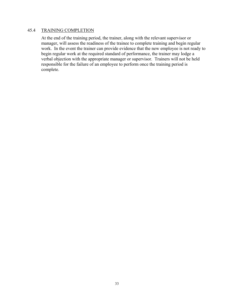### 45.4 TRAINING COMPLETION

At the end of the training period, the trainer, along with the relevant supervisor or manager, will assess the readiness of the trainee to complete training and begin regular work. In the event the trainer can provide evidence that the new employee is not ready to begin regular work at the required standard of performance, the trainer may lodge a verbal objection with the appropriate manager or supervisor. Trainers will not be held responsible for the failure of an employee to perform once the training period is complete.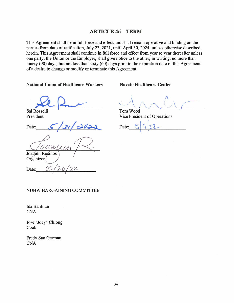### **ARTICLE 46 - TERM**

This Agreement shall be in full force and effect and shall remain operative and binding on the parties from date of ratification, July 23, 2021, until April 30, 2024, unless otherwise described herein. This Agreement shall continue in full force and effect from year to year thereafter unless one party, the Union or the Employer, shall give notice to the other, in writing, no more than ninety (90) days, but not less than sixty (60) days prior to the expiration date of this Agreement of a desire to change or modify or terminate this Agreement.

**National Union of Healthcare Workers** 

Sal Rosselli President

Date:

Joaquín Reginos Organizer

**Novato Healthcare Center** 

Tom Wood Vice President of Operations

Date:

NUHW BARGAINING COMMITTEE

Ida Bantilan **CNA** 

Date:

Jose "Joey" Chiong Cook

Fredy San German **CNA**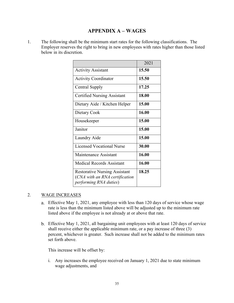### **APPENDIX A – WAGES**

1. The following shall be the minimum start rates for the following classifications. The Employer reserves the right to bring in new employees with rates higher than those listed below in its discretion.

|                                                                                                          | 2021  |
|----------------------------------------------------------------------------------------------------------|-------|
| <b>Activity Assistant</b>                                                                                | 15.50 |
| <b>Activity Coordinator</b>                                                                              | 15.50 |
| Central Supply                                                                                           | 17.25 |
| <b>Certified Nursing Assistant</b>                                                                       | 18.00 |
| Dietary Aide / Kitchen Helper                                                                            | 15.00 |
| Dietary Cook                                                                                             | 16.00 |
| Housekeeper                                                                                              | 15.00 |
| Janitor                                                                                                  | 15.00 |
| Laundry Aide                                                                                             | 15.00 |
| <b>Licensed Vocational Nurse</b>                                                                         | 30.00 |
| Maintenance Assistant                                                                                    | 16.00 |
| <b>Medical Records Assistant</b>                                                                         | 16.00 |
| <b>Restorative Nursing Assistant</b><br>(CNA with an RNA certification<br><i>performing RNA duties</i> ) | 18.25 |

### 2. WAGE INCREASES

- Effective May 1, 2021, any employee with less than 120 days of service whose wage rate is less than the minimum listed above will be adjusted up to the minimum rate listed above if the employee is not already at or above that rate.
- Effective May 1, 2021, all bargaining unit employees with at least 120 days of service shall receive either the applicable minimum rate, or a pay increase of three (3) percent, whichever is greater. Such increase shall not be added to the minimum rates set forth above.

This increase will be offset by:

i. Any increases the employee received on January 1, 2021 due to state minimum wage adjustments, and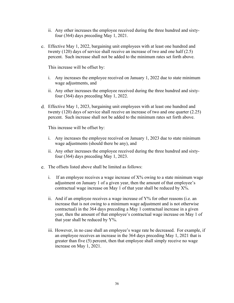- ii. Any other increases the employee received during the three hundred and sixtyfour (364) days preceding May 1, 2021.
- Effective May 1, 2022, bargaining unit employees with at least one hundred and twenty (120) days of service shall receive an increase of two and one half (2.5) percent. Such increase shall not be added to the minimum rates set forth above.

This increase will be offset by:

- i. Any increases the employee received on January 1, 2022 due to state minimum wage adjustments, and
- ii. Any other increases the employee received during the three hundred and sixtyfour (364) days preceding May 1, 2022.
- Effective May 1, 2023, bargaining unit employees with at least one hundred and twenty (120) days of service shall receive an increase of two and one quarter (2.25) percent. Such increase shall not be added to the minimum rates set forth above.

This increase will be offset by:

- i. Any increases the employee received on January 1, 2023 due to state minimum wage adjustments (should there be any), and
- ii. Any other increases the employee received during the three hundred and sixtyfour (364) days preceding May 1, 2023.
- The offsets listed above shall be limited as follows:
	- i. If an employee receives a wage increase of  $X%$  owing to a state minimum wage adjustment on January 1 of a given year, then the amount of that employee's contractual wage increase on May 1 of that year shall be reduced by X%.
	- ii. And if an employee receives a wage increase of Y% for other reasons (i.e. an increase that is not owing to a minimum wage adjustment and is not otherwise contractual) in the 364 days preceding a May 1 contractual increase in a given year, then the amount of that employee's contractual wage increase on May 1 of that year shall be reduced by  $Y\%$ .
	- iii. However, in no case shall an employee's wage rate be decreased. For example, if an employee receives an increase in the 364 days preceding May 1, 2021 that is greater than five (5) percent, then that employee shall simply receive no wage increase on May 1, 2021.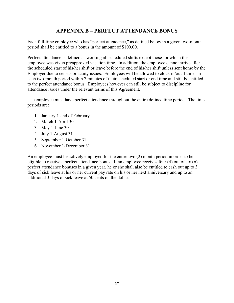# **APPENDIX B – PERFECT ATTENDANCE BONUS**

Each full-time employee who has "perfect attendance," as defined below in a given two-month period shall be entitled to a bonus in the amount of \$100.00.

Perfect attendance is defined as working all scheduled shifts except those for which the employee was given preapproved vacation time. In addition, the employee cannot arrive after the scheduled start of his/her shift or leave before the end of his/her shift unless sent home by the Employer due to census or acuity issues. Employees will be allowed to clock in/out 4 times in each two-month period within 7 minutes of their scheduled start or end time and still be entitled to the perfect attendance bonus. Employees however can still be subject to discipline for attendance issues under the relevant terms of this Agreement.

The employee must have perfect attendance throughout the entire defined time period. The time periods are:

- 1. January 1-end of February
- 2. March 1-April 30
- 3. May 1-June 30
- 4. July 1-August 31
- 5. September 1-October 31
- 6. November 1-December 31

An employee must be actively employed for the entire two (2) month period in order to be eligible to receive a perfect attendance bonus. If an employee receives four (4) out of six (6) perfect attendance bonuses in a given year, he or she shall also be entitled to cash out up to 3 days of sick leave at his or her current pay rate on his or her next anniversary and up to an additional 3 days of sick leave at 50 cents on the dollar.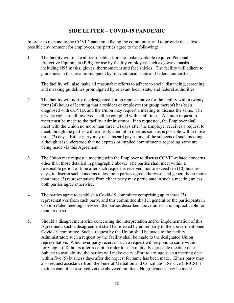### **SIDE LETTER – COVID-19 PANDEMIC**

In order to respond to the COVID pandemic facing the community, and to provide the safest possible environment for employees, the parties agree to the following:

1. The facility will make all reasonable efforts to make available required Personal Protective Equipment (PPE) for use by facility employees such as gowns, masks including N95 masks, gloves, thermometers and face shields. The facility will adhere to guidelines in this area promulgated by relevant local, state and federal authorities.

The facility will also make all reasonable efforts to adhere to social distancing, screening, and masking guidelines promulgated by relevant local, state, and federal authorities

- 2. The facility will notify the designated Union representative for the facility within twentyfour (24) hours of learning that a resident or employee (or group thereof) has been diagnosed with COVID, and the Union may request a meeting to discuss the same. The privacy rights of all involved shall be complied with at all times. A Union request to meet must be made to the facility Administrator. If so requested, the Employer shall meet with the Union no more than three (3) days after the Employer receives a request to meet, though the parties will earnestly attempt to meet as soon as is possible within those three (3) days. Either party may raise hazard pay as one of the subjects of such meeting, although it is understood that no express or implied commitments regarding same are being made via this Agreement.
- 3. The Union may request a meeting with the Employer to discuss COVID-related concerns other than those detailed in paragraph 2 above. The parties shall meet within a reasonable period of time after such request is received, not to exceed ten (10) business days, to discuss such concerns unless both parties agree otherwise, and generally no more than three (3) representatives from either party may participate in such a meeting unless both parties agree otherwise.
- 4. The parties agree to establish a Covid-19 committee comprising up to three (3) representatives from each party, and this committee shall in general be the participants in Covid-related meetings between the parties described above unless it is impracticable for them to do so.
- 5. Should a disagreement arise concerning the interpretation and/or implementation of this Agreement, such a disagreement shall be referred by either party to the above-mentioned Covid-19 committee. Such a request by the Union shall be made to the facility Administrator; such a request by the facility shall be made to the designated Union representative. Whichever party receives such a request will respond to same within forty-eight (48) hours after receipt in order to set a mutually agreeable meeting date. Subject to availability, the parties will make every effort to arrange such a meeting date within five (5) business days after the request for same has been made. Either party may also request assistance from the Federal Mediation and Conciliation Service (FMCS) if matters cannot be resolved via the above committee. No grievances may be made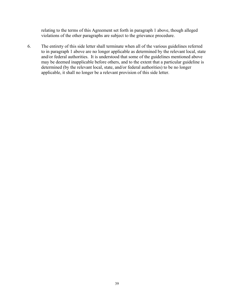relating to the terms of this Agreement set forth in paragraph 1 above, though alleged violations of the other paragraphs are subject to the grievance procedure.

6. The entirety of this side letter shall terminate when all of the various guidelines referred to in paragraph 1 above are no longer applicable as determined by the relevant local, state and/or federal authorities. It is understood that some of the guidelines mentioned above may be deemed inapplicable before others, and to the extent that a particular guideline is determined (by the relevant local, state, and/or federal authorities) to be no longer applicable, it shall no longer be a relevant provision of this side letter.